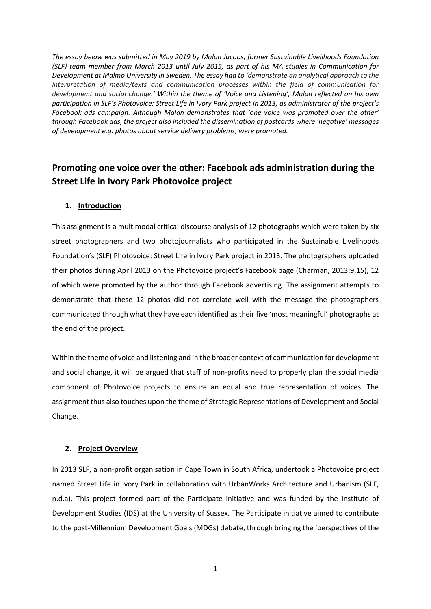*The essay below was submitted in May 2019 by Malan Jacobs, former Sustainable Livelihoods Foundation (SLF) team member from March 2013 until July 2015, as part of his MA studies in Communication for Development at Malmö University in Sweden. The essay had to 'demonstrate an analytical approach to the interpretation of media/texts and communication processes within the field of communication for development and social change.' Within the theme of 'Voice and Listening', Malan reflected on his own participation in SLF's Photovoice: Street Life in Ivory Park project in 2013, as administrator of the project's Facebook ads campaign. Although Malan demonstrates that 'one voice was promoted over the other' through Facebook ads, the project also included the dissemination of postcards where 'negative' messages of development e.g. photos about service delivery problems, were promoted.*

# **Promoting one voice over the other: Facebook ads administration during the Street Life in Ivory Park Photovoice project**

### **1. Introduction**

This assignment is a multimodal critical discourse analysis of 12 photographs which were taken by six street photographers and two photojournalists who participated in the Sustainable Livelihoods Foundation's (SLF) Photovoice: Street Life in Ivory Park project in 2013. The photographers uploaded their photos during April 2013 on the Photovoice project's Facebook page (Charman, 2013:9,15), 12 of which were promoted by the author through Facebook advertising. The assignment attempts to demonstrate that these 12 photos did not correlate well with the message the photographers communicated through what they have each identified as their five 'most meaningful' photographs at the end of the project.

Within the theme of voice and listening and in the broader context of communication for development and social change, it will be argued that staff of non-profits need to properly plan the social media component of Photovoice projects to ensure an equal and true representation of voices. The assignment thus also touches upon the theme of Strategic Representations of Development and Social Change.

### **2. Project Overview**

In 2013 SLF, a non-profit organisation in Cape Town in South Africa, undertook a Photovoice project named Street Life in Ivory Park in collaboration with UrbanWorks Architecture and Urbanism (SLF, n.d.a). This project formed part of the Participate initiative and was funded by the Institute of Development Studies (IDS) at the University of Sussex. The Participate initiative aimed to contribute to the post-Millennium Development Goals (MDGs) debate, through bringing the 'perspectives of the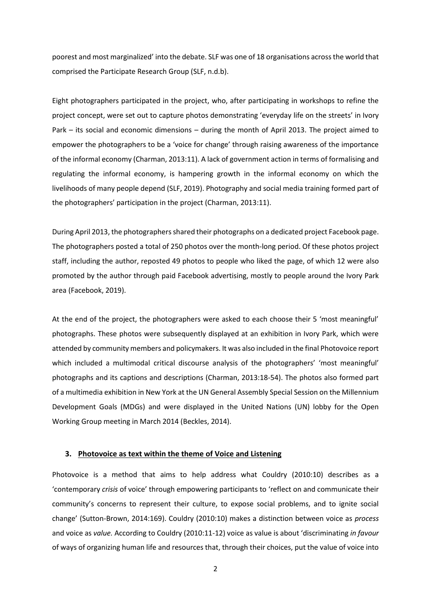poorest and most marginalized' into the debate. SLF was one of 18 organisations across the world that comprised the Participate Research Group (SLF, n.d.b).

Eight photographers participated in the project, who, after participating in workshops to refine the project concept, were set out to capture photos demonstrating 'everyday life on the streets' in Ivory Park – its social and economic dimensions – during the month of April 2013. The project aimed to empower the photographers to be a 'voice for change' through raising awareness of the importance of the informal economy (Charman, 2013:11). A lack of government action in terms of formalising and regulating the informal economy, is hampering growth in the informal economy on which the livelihoods of many people depend (SLF, 2019). Photography and social media training formed part of the photographers' participation in the project (Charman, 2013:11).

During April 2013, the photographers shared their photographs on a dedicated project Facebook page. The photographers posted a total of 250 photos over the month-long period. Of these photos project staff, including the author, reposted 49 photos to people who liked the page, of which 12 were also promoted by the author through paid Facebook advertising, mostly to people around the Ivory Park area (Facebook, 2019).

At the end of the project, the photographers were asked to each choose their 5 'most meaningful' photographs. These photos were subsequently displayed at an exhibition in Ivory Park, which were attended by community members and policymakers. It was also included in the final Photovoice report which included a multimodal critical discourse analysis of the photographers' 'most meaningful' photographs and its captions and descriptions (Charman, 2013:18-54). The photos also formed part of a multimedia exhibition in New York at the UN General Assembly Special Session on the Millennium Development Goals (MDGs) and were displayed in the United Nations (UN) lobby for the Open Working Group meeting in March 2014 (Beckles, 2014).

#### **3. Photovoice as text within the theme of Voice and Listening**

Photovoice is a method that aims to help address what Couldry (2010:10) describes as a 'contemporary *crisis* of voice' through empowering participants to 'reflect on and communicate their community's concerns to represent their culture, to expose social problems, and to ignite social change' (Sutton-Brown, 2014:169). Couldry (2010:10) makes a distinction between voice as *process*  and voice as *value.* According to Couldry (2010:11-12) voice as value is about 'discriminating *in favour*  of ways of organizing human life and resources that, through their choices, put the value of voice into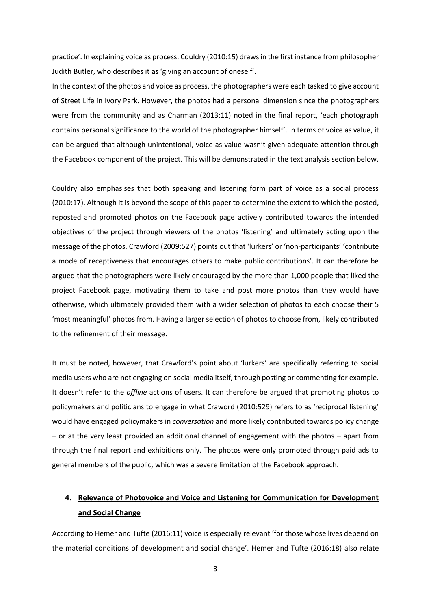practice'. In explaining voice as process, Couldry (2010:15) draws in the first instance from philosopher Judith Butler, who describes it as 'giving an account of oneself'.

In the context of the photos and voice as process, the photographers were each tasked to give account of Street Life in Ivory Park. However, the photos had a personal dimension since the photographers were from the community and as Charman (2013:11) noted in the final report, 'each photograph contains personal significance to the world of the photographer himself'. In terms of voice as value, it can be argued that although unintentional, voice as value wasn't given adequate attention through the Facebook component of the project. This will be demonstrated in the text analysis section below.

Couldry also emphasises that both speaking and listening form part of voice as a social process (2010:17). Although it is beyond the scope of this paper to determine the extent to which the posted, reposted and promoted photos on the Facebook page actively contributed towards the intended objectives of the project through viewers of the photos 'listening' and ultimately acting upon the message of the photos, Crawford (2009:527) points out that 'lurkers' or 'non-participants' 'contribute a mode of receptiveness that encourages others to make public contributions'. It can therefore be argued that the photographers were likely encouraged by the more than 1,000 people that liked the project Facebook page, motivating them to take and post more photos than they would have otherwise, which ultimately provided them with a wider selection of photos to each choose their 5 'most meaningful' photos from. Having a larger selection of photos to choose from, likely contributed to the refinement of their message.

It must be noted, however, that Crawford's point about 'lurkers' are specifically referring to social media users who are not engaging on social media itself, through posting or commenting for example. It doesn't refer to the *offline* actions of users. It can therefore be argued that promoting photos to policymakers and politicians to engage in what Craword (2010:529) refers to as 'reciprocal listening' would have engaged policymakers in *conversation* and more likely contributed towards policy change – or at the very least provided an additional channel of engagement with the photos – apart from through the final report and exhibitions only. The photos were only promoted through paid ads to general members of the public, which was a severe limitation of the Facebook approach.

# **4. Relevance of Photovoice and Voice and Listening for Communication for Development and Social Change**

According to Hemer and Tufte (2016:11) voice is especially relevant 'for those whose lives depend on the material conditions of development and social change'. Hemer and Tufte (2016:18) also relate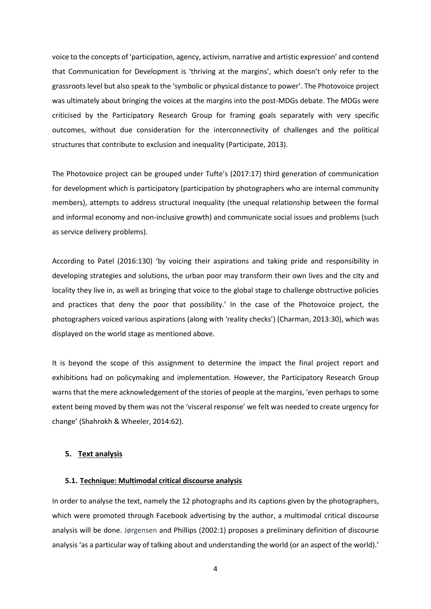voice to the concepts of 'participation, agency, activism, narrative and artistic expression' and contend that Communication for Development is 'thriving at the margins', which doesn't only refer to the grassroots level but also speak to the 'symbolic or physical distance to power'. The Photovoice project was ultimately about bringing the voices at the margins into the post-MDGs debate. The MDGs were criticised by the Participatory Research Group for framing goals separately with very specific outcomes, without due consideration for the interconnectivity of challenges and the political structures that contribute to exclusion and inequality (Participate, 2013).

The Photovoice project can be grouped under Tufte's (2017:17) third generation of communication for development which is participatory (participation by photographers who are internal community members), attempts to address structural inequality (the unequal relationship between the formal and informal economy and non-inclusive growth) and communicate social issues and problems (such as service delivery problems).

According to Patel (2016:130) 'by voicing their aspirations and taking pride and responsibility in developing strategies and solutions, the urban poor may transform their own lives and the city and locality they live in, as well as bringing that voice to the global stage to challenge obstructive policies and practices that deny the poor that possibility.' In the case of the Photovoice project, the photographers voiced various aspirations (along with 'reality checks') (Charman, 2013:30), which was displayed on the world stage as mentioned above.

It is beyond the scope of this assignment to determine the impact the final project report and exhibitions had on policymaking and implementation. However, the Participatory Research Group warns that the mere acknowledgement of the stories of people at the margins, 'even perhaps to some extent being moved by them was not the 'visceral response' we felt was needed to create urgency for change' (Shahrokh & Wheeler, 2014:62).

### **5. Text analysis**

### **5.1. Technique: Multimodal critical discourse analysis**

In order to analyse the text, namely the 12 photographs and its captions given by the photographers, which were promoted through Facebook advertising by the author, a multimodal critical discourse analysis will be done. Jørgensen and Phillips (2002:1) proposes a preliminary definition of discourse analysis 'as a particular way of talking about and understanding the world (or an aspect of the world).'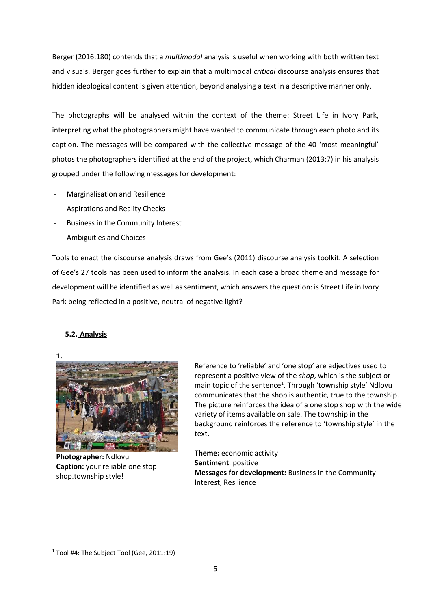Berger (2016:180) contends that a *multimodal* analysis is useful when working with both written text and visuals. Berger goes further to explain that a multimodal *critical* discourse analysis ensures that hidden ideological content is given attention, beyond analysing a text in a descriptive manner only.

The photographs will be analysed within the context of the theme: Street Life in Ivory Park, interpreting what the photographers might have wanted to communicate through each photo and its caption. The messages will be compared with the collective message of the 40 'most meaningful' photos the photographers identified at the end of the project, which Charman (2013:7) in his analysis grouped under the following messages for development:

- Marginalisation and Resilience
- Aspirations and Reality Checks
- Business in the Community Interest
- Ambiguities and Choices

Tools to enact the discourse analysis draws from Gee's (2011) discourse analysis toolkit. A selection of Gee's 27 tools has been used to inform the analysis. In each case a broad theme and message for development will be identified as well as sentiment, which answers the question: is Street Life in Ivory Park being reflected in a positive, neutral of negative light?

### **5.2. Analysis**



**Photographer:** Ndlovu **Caption:** your reliable one stop shop.township style!

Reference to 'reliable' and 'one stop' are adjectives used to represent a positive view of the *shop*, which is the subject or main topic of the sentence<sup>1</sup>. Through 'township style' Ndlovu communicates that the shop is authentic, true to the township. The picture reinforces the idea of a one stop shop with the wide variety of items available on sale. The township in the background reinforces the reference to 'township style' in the text.

**Theme:** economic activity **Sentiment**: positive **Messages for development:** Business in the Community Interest, Resilience

<sup>&</sup>lt;sup>1</sup> Tool #4: The Subject Tool (Gee, 2011:19)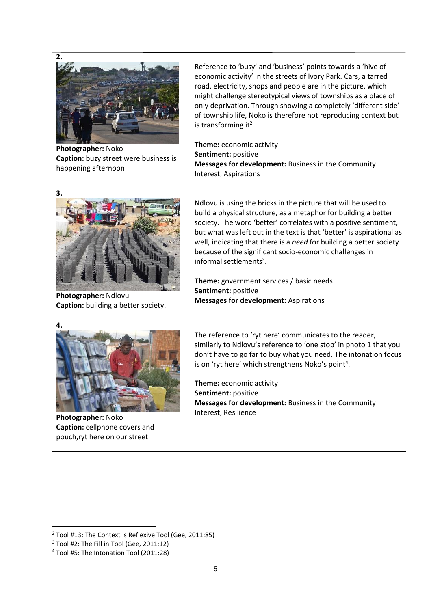| 2.<br>Photographer: Noko<br>Caption: buzy street were business is<br>happening afternoon   | Reference to 'busy' and 'business' points towards a 'hive of<br>economic activity' in the streets of Ivory Park. Cars, a tarred<br>road, electricity, shops and people are in the picture, which<br>might challenge stereotypical views of townships as a place of<br>only deprivation. Through showing a completely 'different side'<br>of township life, Noko is therefore not reproducing context but<br>is transforming it <sup>2</sup> .<br>Theme: economic activity<br>Sentiment: positive<br>Messages for development: Business in the Community<br>Interest, Aspirations  |
|--------------------------------------------------------------------------------------------|-----------------------------------------------------------------------------------------------------------------------------------------------------------------------------------------------------------------------------------------------------------------------------------------------------------------------------------------------------------------------------------------------------------------------------------------------------------------------------------------------------------------------------------------------------------------------------------|
| 3.<br>Photographer: Ndlovu<br>Caption: building a better society.                          | Ndlovu is using the bricks in the picture that will be used to<br>build a physical structure, as a metaphor for building a better<br>society. The word 'better' correlates with a positive sentiment,<br>but what was left out in the text is that 'better' is aspirational as<br>well, indicating that there is a need for building a better society<br>because of the significant socio-economic challenges in<br>informal settlements <sup>3</sup> .<br><b>Theme:</b> government services / basic needs<br>Sentiment: positive<br><b>Messages for development: Aspirations</b> |
| 4.<br>Photographer: Noko<br>Caption: cellphone covers and<br>pouch, ryt here on our street | The reference to 'ryt here' communicates to the reader,<br>similarly to Ndlovu's reference to 'one stop' in photo 1 that you<br>don't have to go far to buy what you need. The intonation focus<br>is on 'ryt here' which strengthens Noko's point <sup>4</sup> .<br>Theme: economic activity<br>Sentiment: positive<br>Messages for development: Business in the Community<br>Interest, Resilience                                                                                                                                                                               |

 $2$  Tool #13: The Context is Reflexive Tool (Gee, 2011:85)

 $3$  Tool #2: The Fill in Tool (Gee, 2011:12)

<sup>4</sup> Tool #5: The Intonation Tool (2011:28)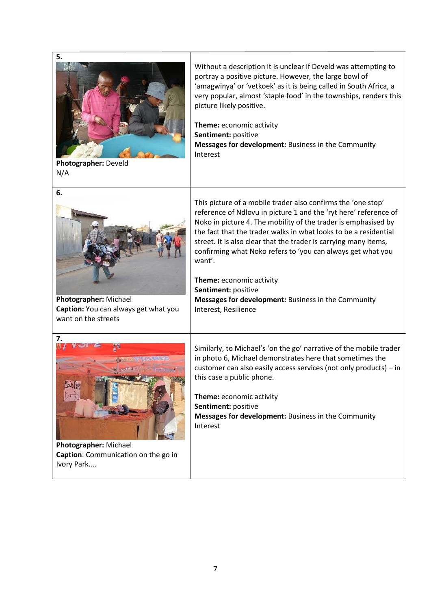

**Photographer:** Develd N/A

Without a description it is unclear if Develd was attempting to portray a positive picture. However, the large bowl of 'amagwinya' or 'vetkoek' as it is being called in South Africa, a very popular, almost 'staple food' in the townships, renders this picture likely positive.

**Theme:** economic activity **Sentiment:** positive **Messages for development:** Business in the Community Interest



**Photographer:** Michael **Caption:** You can always get what you want on the streets

This picture of a mobile trader also confirms the 'one stop' reference of Ndlovu in picture 1 and the 'ryt here' reference of Noko in picture 4. The mobility of the trader is emphasised by the fact that the trader walks in what looks to be a residential street. It is also clear that the trader is carrying many items, confirming what Noko refers to 'you can always get what you want'.

**Theme:** economic activity **Sentiment:** positive **Messages for development:** Business in the Community Interest, Resilience



**Photographer:** Michael **Caption**: Communication on the go in Ivory Park....

Similarly, to Michael's 'on the go' narrative of the mobile trader in photo 6, Michael demonstrates here that sometimes the customer can also easily access services (not only products) – in this case a public phone.

**Theme:** economic activity **Sentiment:** positive **Messages for development:** Business in the Community Interest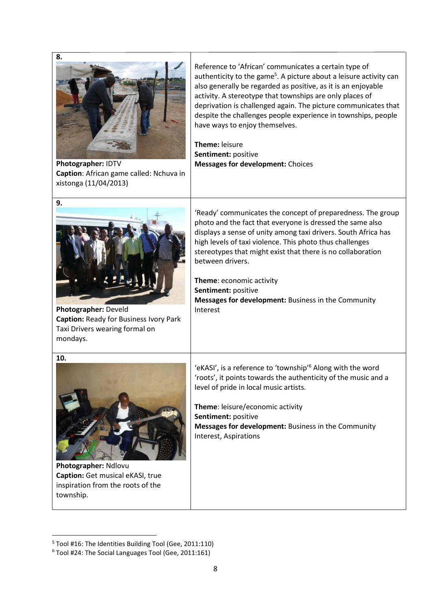| 8.<br>Photographer: IDTV<br>Caption: African game called: Nchuva in<br>xistonga (11/04/2013)                       | Reference to 'African' communicates a certain type of<br>authenticity to the game <sup>5</sup> . A picture about a leisure activity can<br>also generally be regarded as positive, as it is an enjoyable<br>activity. A stereotype that townships are only places of<br>deprivation is challenged again. The picture communicates that<br>despite the challenges people experience in townships, people<br>have ways to enjoy themselves.<br>Theme: leisure<br>Sentiment: positive<br><b>Messages for development: Choices</b> |
|--------------------------------------------------------------------------------------------------------------------|--------------------------------------------------------------------------------------------------------------------------------------------------------------------------------------------------------------------------------------------------------------------------------------------------------------------------------------------------------------------------------------------------------------------------------------------------------------------------------------------------------------------------------|
| 9.<br>Photographer: Develd<br>Caption: Ready for Business Ivory Park<br>Taxi Drivers wearing formal on<br>mondays. | 'Ready' communicates the concept of preparedness. The group<br>photo and the fact that everyone is dressed the same also<br>displays a sense of unity among taxi drivers. South Africa has<br>high levels of taxi violence. This photo thus challenges<br>stereotypes that might exist that there is no collaboration<br>between drivers.<br>Theme: economic activity<br>Sentiment: positive<br>Messages for development: Business in the Community<br>Interest                                                                |
| 10.<br>Photographer: Ndlovu<br>Caption: Get musical eKASI, true<br>inspiration from the roots of the<br>township.  | 'eKASI', is a reference to 'township' <sup>6</sup> Along with the word<br>'roots', it points towards the authenticity of the music and a<br>level of pride in local music artists.<br>Theme: leisure/economic activity<br>Sentiment: positive<br>Messages for development: Business in the Community<br>Interest, Aspirations                                                                                                                                                                                                  |

<sup>5</sup> Tool #16: The Identities Building Tool (Gee, 2011:110)

<sup>6</sup> Tool #24: The Social Languages Tool (Gee, 2011:161)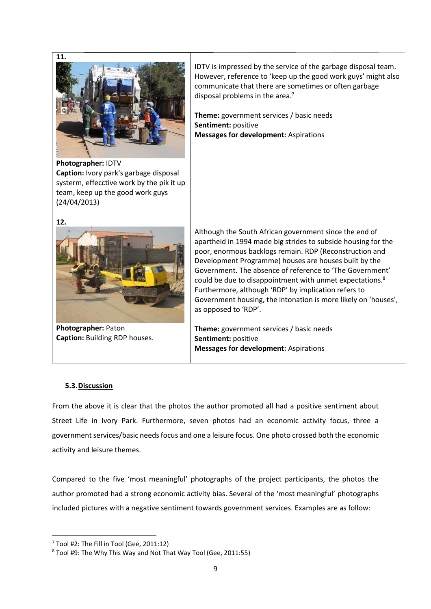

**Photographer:** IDTV **Caption:** Ivory park's garbage disposal systerm, effecctive work by the pik it up team, keep up the good work guys (24/04/2013)

IDTV is impressed by the service of the garbage disposal team. However, reference to 'keep up the good work guys' might also communicate that there are sometimes or often garbage disposal problems in the area.<sup>7</sup>

**Theme:** government services / basic needs **Sentiment:** positive **Messages for development:** Aspirations



**Photographer:** Paton **Caption:** Building RDP houses.

Although the South African government since the end of apartheid in 1994 made big strides to subside housing for the poor, enormous backlogs remain. RDP (Reconstruction and Development Programme) houses are houses built by the Government. The absence of reference to 'The Government' could be due to disappointment with unmet expectations. 8 Furthermore, although 'RDP' by implication refers to Government housing, the intonation is more likely on 'houses', as opposed to 'RDP'.

**Theme:** government services / basic needs **Sentiment:** positive **Messages for development:** Aspirations

## **5.3.Discussion**

From the above it is clear that the photos the author promoted all had a positive sentiment about Street Life in Ivory Park. Furthermore, seven photos had an economic activity focus, three a government services/basic needs focus and one a leisure focus. One photo crossed both the economic activity and leisure themes.

Compared to the five 'most meaningful' photographs of the project participants, the photos the author promoted had a strong economic activity bias. Several of the 'most meaningful' photographs included pictures with a negative sentiment towards government services. Examples are as follow:

<sup>7</sup> Tool #2: The Fill in Tool (Gee, 2011:12)

<sup>8</sup> Tool #9: The Why This Way and Not That Way Tool (Gee, 2011:55)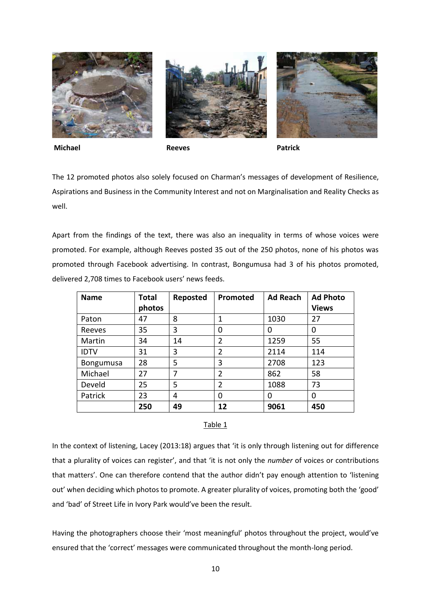





**Michael Reeves Patrick**

The 12 promoted photos also solely focused on Charman's messages of development of Resilience, Aspirations and Business in the Community Interest and not on Marginalisation and Reality Checks as well.

Apart from the findings of the text, there was also an inequality in terms of whose voices were promoted. For example, although Reeves posted 35 out of the 250 photos, none of his photos was promoted through Facebook advertising. In contrast, Bongumusa had 3 of his photos promoted, delivered 2,708 times to Facebook users' news feeds.

| <b>Name</b>      | <b>Total</b> | Reposted | Promoted       | <b>Ad Reach</b> | <b>Ad Photo</b> |
|------------------|--------------|----------|----------------|-----------------|-----------------|
|                  | photos       |          |                |                 | <b>Views</b>    |
| Paton            | 47           | 8        |                | 1030            | 27              |
| Reeves           | 35           | 3        | 0              | 0               | 0               |
| Martin           | 34           | 14       | 2              | 1259            | 55              |
| <b>IDTV</b>      | 31           | 3        | $\overline{2}$ | 2114            | 114             |
| <b>Bongumusa</b> | 28           | 5        | 3              | 2708            | 123             |
| Michael          | 27           | 7        | $\overline{2}$ | 862             | 58              |
| Develd           | 25           | 5        | $\overline{2}$ | 1088            | 73              |
| Patrick          | 23           | 4        | 0              | 0               | 0               |
|                  | 250          | 49       | 12             | 9061            | 450             |

### Table 1

In the context of listening, Lacey (2013:18) argues that 'it is only through listening out for difference that a plurality of voices can register', and that 'it is not only the *number* of voices or contributions that matters'. One can therefore contend that the author didn't pay enough attention to 'listening out' when deciding which photos to promote. A greater plurality of voices, promoting both the 'good' and 'bad' of Street Life in Ivory Park would've been the result.

Having the photographers choose their 'most meaningful' photos throughout the project, would've ensured that the 'correct' messages were communicated throughout the month-long period.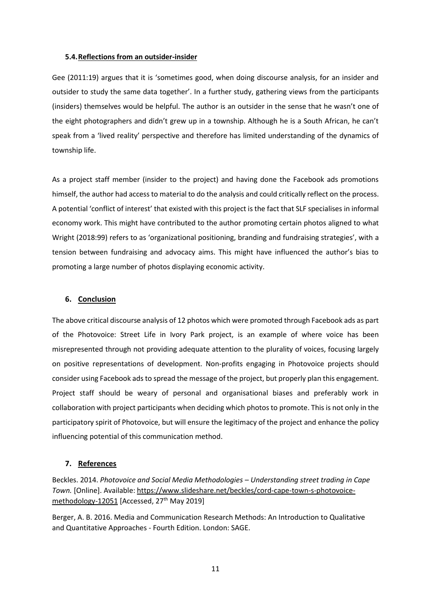#### **5.4.Reflections from an outsider-insider**

Gee (2011:19) argues that it is 'sometimes good, when doing discourse analysis, for an insider and outsider to study the same data together'. In a further study, gathering views from the participants (insiders) themselves would be helpful. The author is an outsider in the sense that he wasn't one of the eight photographers and didn't grew up in a township. Although he is a South African, he can't speak from a 'lived reality' perspective and therefore has limited understanding of the dynamics of township life.

As a project staff member (insider to the project) and having done the Facebook ads promotions himself, the author had access to material to do the analysis and could critically reflect on the process. A potential 'conflict of interest' that existed with this project is the fact that SLF specialises in informal economy work. This might have contributed to the author promoting certain photos aligned to what Wright (2018:99) refers to as 'organizational positioning, branding and fundraising strategies', with a tension between fundraising and advocacy aims. This might have influenced the author's bias to promoting a large number of photos displaying economic activity.

### **6. Conclusion**

The above critical discourse analysis of 12 photos which were promoted through Facebook ads as part of the Photovoice: Street Life in Ivory Park project, is an example of where voice has been misrepresented through not providing adequate attention to the plurality of voices, focusing largely on positive representations of development. Non-profits engaging in Photovoice projects should consider using Facebook ads to spread the message of the project, but properly plan this engagement. Project staff should be weary of personal and organisational biases and preferably work in collaboration with project participants when deciding which photos to promote. This is not only in the participatory spirit of Photovoice, but will ensure the legitimacy of the project and enhance the policy influencing potential of this communication method.

### **7. References**

Beckles. 2014. *Photovoice and Social Media Methodologies – Understanding street trading in Cape Town.* [Online]. Available: [https://www.slideshare.net/beckles/cord-cape-town-s-photovoice](https://www.slideshare.net/beckles/cord-cape-town-s-photovoice-methodology-12051)[methodology-12051](https://www.slideshare.net/beckles/cord-cape-town-s-photovoice-methodology-12051) [Accessed, 27<sup>th</sup> May 2019]

Berger, A. B. 2016. Media and Communication Research Methods: An Introduction to Qualitative and Quantitative Approaches - Fourth Edition. London: SAGE.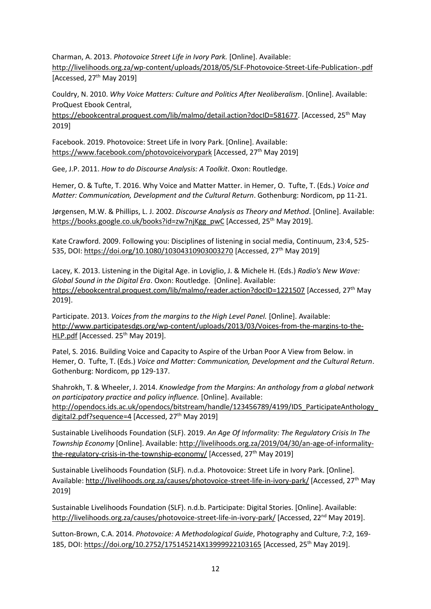Charman, A. 2013. *Photovoice Street Life in Ivory Park.* [Online]. Available: <http://livelihoods.org.za/wp-content/uploads/2018/05/SLF-Photovoice-Street-Life-Publication-.pdf> [Accessed,  $27<sup>th</sup>$  May 2019]

Couldry, N. 2010. *Why Voice Matters: Culture and Politics After Neoliberalism*. [Online]. Available: ProQuest Ebook Central,

[https://ebookcentral.proquest.com/lib/malmo/detail.action?docID=581677.](https://ebookcentral.proquest.com/lib/malmo/detail.action?docID=581677) [Accessed, 25<sup>th</sup> May 2019]

Facebook. 2019. Photovoice: Street Life in Ivory Park. [Online]. Available: <https://www.facebook.com/photovoiceivorypark> [Accessed, 27<sup>th</sup> May 2019]

Gee, J.P. 2011. *How to do Discourse Analysis: A Toolkit*. Oxon: Routledge.

Hemer, O. & Tufte, T. 2016. Why Voice and Matter Matter. in Hemer, O. Tufte, T. (Eds.) *Voice and Matter: Communication, Development and the Cultural Return*. Gothenburg: Nordicom, pp 11-21.

Jørgensen, M.W. & Phillips, L. J. 2002. *Discourse Analysis as Theory and Method*. [Online]. Available: [https://books.google.co.uk/books?id=zw7njKgg\\_pwC](https://books.google.co.uk/books?id=zw7njKgg_pwC) [Accessed, 25<sup>th</sup> May 2019].

Kate Crawford. 2009. Following you: Disciplines of listening in social media, Continuum, 23:4, 525- 535, DOI:<https://doi.org/10.1080/10304310903003270> [Accessed, 27th May 2019]

Lacey, K. 2013. Listening in the Digital Age. in Loviglio, J. & Michele H. (Eds.) *Radio's New Wave: Global Sound in the Digital Era*. Oxon: Routledge. [Online]. Available: <https://ebookcentral.proquest.com/lib/malmo/reader.action?docID=1221507> [Accessed, 27<sup>th</sup> May 2019].

Participate. 2013. *Voices from the margins to the High Level Panel.* [Online]. Available: [http://www.participatesdgs.org/wp-content/uploads/2013/03/Voices-from-the-margins-to-the-](http://www.participatesdgs.org/wp-content/uploads/2013/03/Voices-from-the-margins-to-the-HLP.pdf)[HLP.pdf](http://www.participatesdgs.org/wp-content/uploads/2013/03/Voices-from-the-margins-to-the-HLP.pdf) [Accessed. 25<sup>th</sup> May 2019].

Patel, S. 2016. Building Voice and Capacity to Aspire of the Urban Poor A View from Below. in Hemer, O. Tufte, T. (Eds.) *Voice and Matter: Communication, Development and the Cultural Return*. Gothenburg: Nordicom, pp 129-137.

Shahrokh, T. & Wheeler, J. 2014. *Knowledge from the Margins: An anthology from a global network on participatory practice and policy influence.* [Online]. Available: [http://opendocs.ids.ac.uk/opendocs/bitstream/handle/123456789/4199/IDS\\_ParticipateAnthology\\_](http://opendocs.ids.ac.uk/opendocs/bitstream/handle/123456789/4199/IDS_ParticipateAnthology_digital2.pdf?sequence=4) [digital2.pdf?sequence=4](http://opendocs.ids.ac.uk/opendocs/bitstream/handle/123456789/4199/IDS_ParticipateAnthology_digital2.pdf?sequence=4) [Accessed, 27<sup>th</sup> May 2019]

Sustainable Livelihoods Foundation (SLF). 2019. *An Age Of Informality: The Regulatory Crisis In The Township Economy* [Online]. Available[: http://livelihoods.org.za/2019/04/30/an-age-of-informality](http://livelihoods.org.za/2019/04/30/an-age-of-informality-the-regulatory-crisis-in-the-township-economy/)[the-regulatory-crisis-in-the-township-economy/](http://livelihoods.org.za/2019/04/30/an-age-of-informality-the-regulatory-crisis-in-the-township-economy/) [Accessed, 27<sup>th</sup> May 2019]

Sustainable Livelihoods Foundation (SLF). n.d.a. Photovoice: Street Life in Ivory Park. [Online]. Available:<http://livelihoods.org.za/causes/photovoice-street-life-in-ivory-park/> [Accessed, 27th May 2019]

Sustainable Livelihoods Foundation (SLF). n.d.b. Participate: Digital Stories. [Online]. Available: <http://livelihoods.org.za/causes/photovoice-street-life-in-ivory-park/> [Accessed, 22<sup>nd</sup> May 2019].

Sutton-Brown, C.A. 2014. *Photovoice: A Methodological Guide*, Photography and Culture, 7:2, 169 185, DOI: <https://doi.org/10.2752/175145214X13999922103165> [Accessed, 25<sup>th</sup> May 2019].